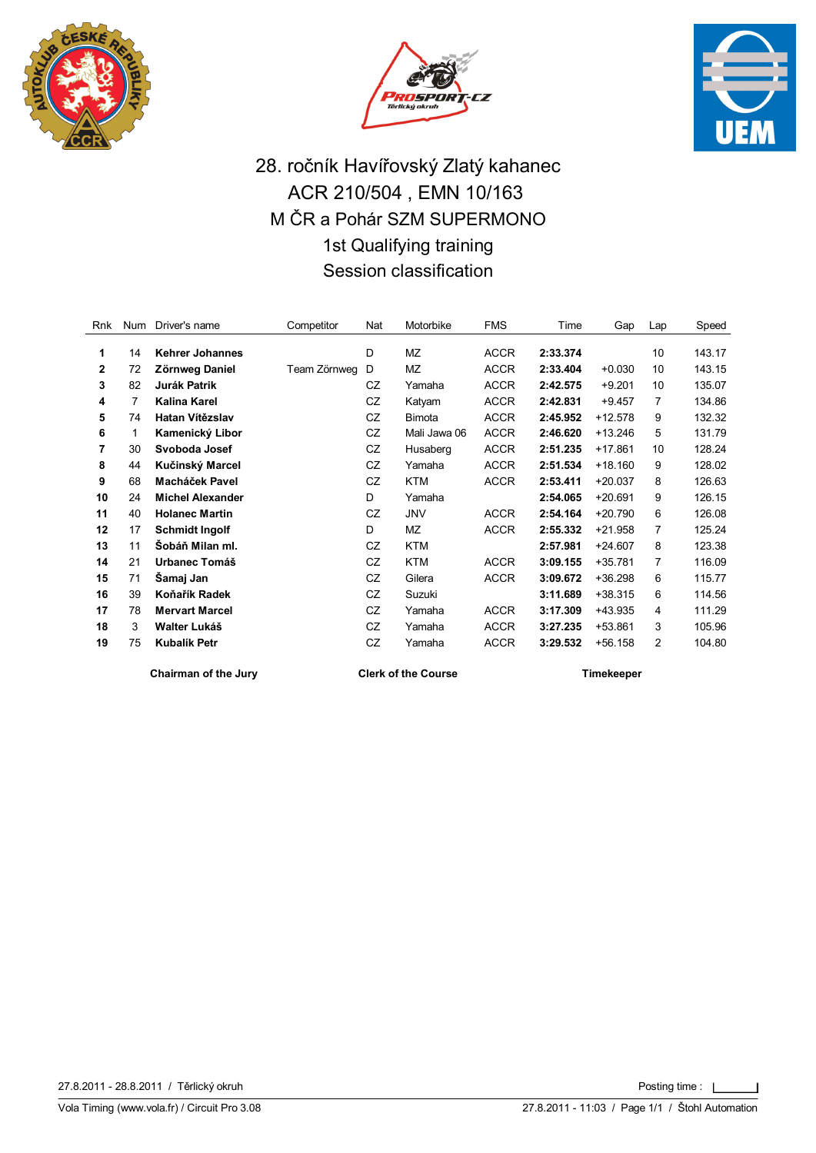





## 28. ročník Havířovský Zlatý kahanec ACR 210/504 , EMN 10/163 M ČR a Pohár SZM SUPERMONO 1st Qualifying training Session classification

| Rnk          | Num | Driver's name           | Competitor   | Nat | Motorbike    | <b>FMS</b>  | Time     | Gap       | Lap | Speed  |
|--------------|-----|-------------------------|--------------|-----|--------------|-------------|----------|-----------|-----|--------|
| 1            | 14  | <b>Kehrer Johannes</b>  |              | D   | <b>MZ</b>    | <b>ACCR</b> | 2:33.374 |           | 10  | 143.17 |
| $\mathbf{2}$ | 72  | Zörnweg Daniel          | Team Zörnweg | D   | <b>MZ</b>    | <b>ACCR</b> | 2:33.404 | $+0.030$  | 10  | 143.15 |
| 3            | 82  | <b>Jurák Patrik</b>     |              | CZ  | Yamaha       | <b>ACCR</b> | 2:42.575 | $+9.201$  | 10  | 135.07 |
| 4            | 7   | Kalina Karel            |              | CZ  | Katyam       | <b>ACCR</b> | 2:42.831 | $+9.457$  | 7   | 134.86 |
| 5            | 74  | Hatan Vítězslav         |              | CZ  | Bimota       | <b>ACCR</b> | 2:45.952 | $+12.578$ | 9   | 132.32 |
| 6            | 1   | Kamenický Libor         |              | CZ  | Mali Jawa 06 | <b>ACCR</b> | 2:46.620 | $+13.246$ | 5   | 131.79 |
| 7            | 30  | Svoboda Josef           |              | CZ  | Husaberg     | <b>ACCR</b> | 2:51.235 | $+17.861$ | 10  | 128.24 |
| 8            | 44  | Kučinský Marcel         |              | CZ  | Yamaha       | <b>ACCR</b> | 2:51.534 | $+18.160$ | 9   | 128.02 |
| 9            | 68  | Macháček Pavel          |              | CZ  | <b>KTM</b>   | <b>ACCR</b> | 2:53.411 | $+20.037$ | 8   | 126.63 |
| 10           | 24  | <b>Michel Alexander</b> |              | D   | Yamaha       |             | 2:54.065 | $+20.691$ | 9   | 126.15 |
| 11           | 40  | <b>Holanec Martin</b>   |              | CZ  | JNV          | <b>ACCR</b> | 2:54.164 | $+20.790$ | 6   | 126.08 |
| 12           | 17  | <b>Schmidt Ingolf</b>   |              | D   | ΜZ           | <b>ACCR</b> | 2:55.332 | $+21.958$ | 7   | 125.24 |
| 13           | 11  | Šobáň Milan ml.         |              | CZ  | <b>KTM</b>   |             | 2:57.981 | $+24.607$ | 8   | 123.38 |
| 14           | 21  | Urbanec Tomáš           |              | CZ  | <b>KTM</b>   | <b>ACCR</b> | 3:09.155 | $+35.781$ | 7   | 116.09 |
| 15           | 71  | Šamaj Jan               |              | CZ  | Gilera       | <b>ACCR</b> | 3:09.672 | $+36.298$ | 6   | 115.77 |
| 16           | 39  | Koňařík Radek           |              | CZ  | Suzuki       |             | 3:11.689 | $+38.315$ | 6   | 114.56 |
| 17           | 78  | <b>Mervart Marcel</b>   |              | CZ  | Yamaha       | <b>ACCR</b> | 3:17.309 | +43.935   | 4   | 111.29 |
| 18           | 3   | Walter Lukáš            |              | CZ  | Yamaha       | <b>ACCR</b> | 3:27.235 | +53.861   | 3   | 105.96 |
| 19           | 75  | <b>Kubalík Petr</b>     |              | CZ  | Yamaha       | <b>ACCR</b> | 3:29.532 | $+56.158$ | 2   | 104.80 |
|              |     |                         |              |     |              |             |          |           |     |        |

**Chairman of the Jury Clerk of the Course Timekeeper**

27.8.2011 - 28.8.2011 / Těrlický okruh Posting time :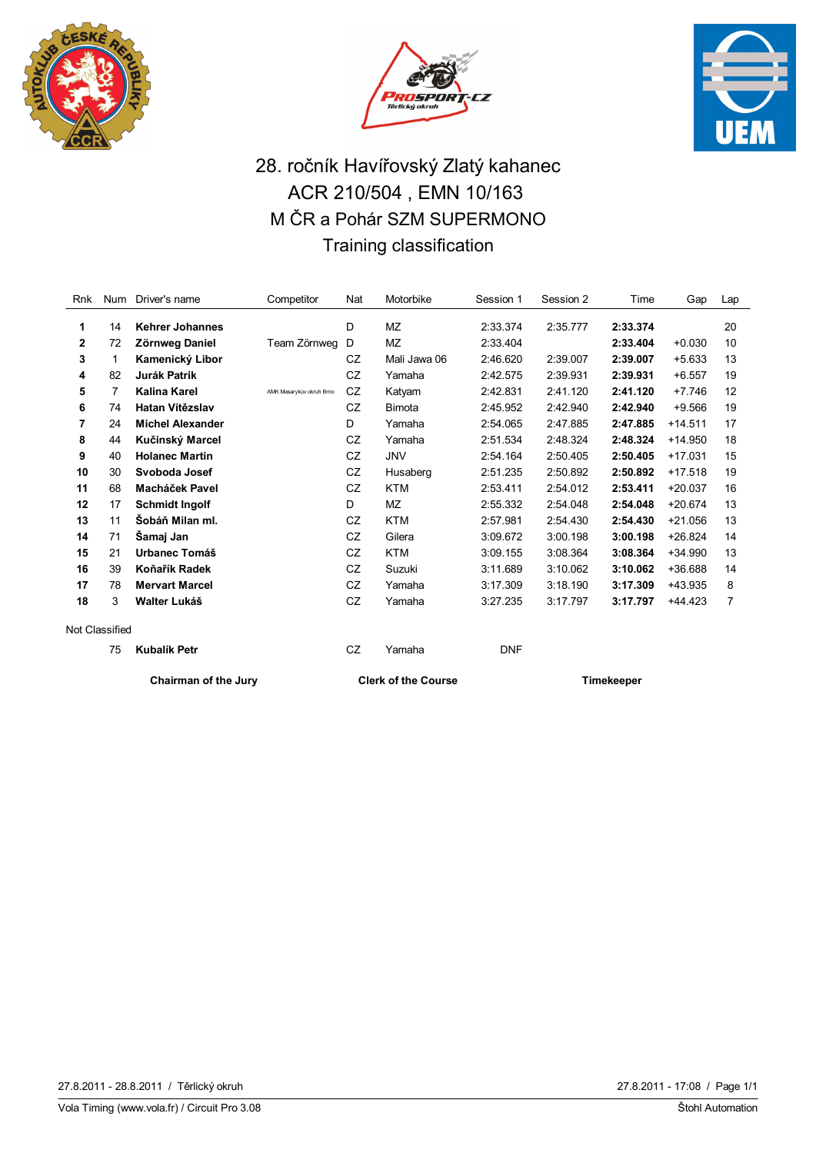





# 28. ročník Havířovský Zlatý kahanec ACR 210/504 , EMN 10/163 M ČR a Pohár SZM SUPERMONO Training classification

| Rnk            | <b>Num</b> | Driver's name               | Competitor               | Nat | Motorbike                  | Session 1         | Session 2 | Time     | Gap       | Lap |
|----------------|------------|-----------------------------|--------------------------|-----|----------------------------|-------------------|-----------|----------|-----------|-----|
| 1              | 14         | <b>Kehrer Johannes</b>      |                          | D   | <b>MZ</b>                  | 2:33.374          | 2:35.777  | 2:33.374 |           | 20  |
| 2              | 72         | Zörnweg Daniel              | Team Zörnweg             | D   | <b>MZ</b>                  | 2:33.404          |           | 2:33.404 | $+0.030$  | 10  |
| 3              | 1          | Kamenický Libor             |                          | CZ  | Mali Jawa 06               | 2:46.620          | 2:39.007  | 2:39.007 | $+5.633$  | 13  |
| 4              | 82         | <b>Jurák Patrik</b>         |                          | CZ  | Yamaha                     | 2:42.575          | 2:39.931  | 2:39.931 | $+6.557$  | 19  |
| 5              | 7          | Kalina Karel                | AMK Masarykův okruh Brno | CZ  | Katyam                     | 2:42.831          | 2:41.120  | 2:41.120 | $+7.746$  | 12  |
| 6              | 74         | Hatan Vítězslav             |                          | CZ  | <b>Bimota</b>              | 2:45.952          | 2:42.940  | 2:42.940 | $+9.566$  | 19  |
| 7              | 24         | <b>Michel Alexander</b>     |                          | D   | Yamaha                     | 2:54.065          | 2:47.885  | 2:47.885 | $+14.511$ | 17  |
| 8              | 44         | Kučinský Marcel             |                          | CZ  | Yamaha                     | 2:51.534          | 2:48.324  | 2:48.324 | $+14.950$ | 18  |
| 9              | 40         | <b>Holanec Martin</b>       |                          | CZ  | <b>JNV</b>                 | 2:54.164          | 2:50.405  | 2:50.405 | $+17.031$ | 15  |
| 10             | 30         | Svoboda Josef               |                          | CZ  | Husaberg                   | 2:51.235          | 2:50.892  | 2:50.892 | $+17.518$ | 19  |
| 11             | 68         | <b>Macháček Pavel</b>       |                          | CZ  | <b>KTM</b>                 | 2:53.411          | 2:54.012  | 2:53.411 | $+20.037$ | 16  |
| 12             | 17         | <b>Schmidt Ingolf</b>       |                          | D   | <b>MZ</b>                  | 2:55.332          | 2:54.048  | 2:54.048 | $+20.674$ | 13  |
| 13             | 11         | Šobáň Milan ml.             |                          | CZ  | <b>KTM</b>                 | 2:57.981          | 2:54.430  | 2:54.430 | $+21.056$ | 13  |
| 14             | 71         | Šamaj Jan                   |                          | CZ  | Gilera                     | 3:09.672          | 3:00.198  | 3:00.198 | $+26.824$ | 14  |
| 15             | 21         | <b>Urbanec Tomáš</b>        |                          | CZ  | <b>KTM</b>                 | 3:09.155          | 3:08.364  | 3:08.364 | $+34.990$ | 13  |
| 16             | 39         | Koňařík Radek               |                          | CZ  | Suzuki                     | 3:11.689          | 3:10.062  | 3:10.062 | +36.688   | 14  |
| 17             | 78         | <b>Mervart Marcel</b>       |                          | CZ  | Yamaha                     | 3:17.309          | 3:18.190  | 3:17.309 | +43.935   | 8   |
| 18             | 3          | Walter Lukáš                |                          | CZ  | Yamaha                     | 3:27.235          | 3:17.797  | 3:17.797 | +44.423   | 7   |
| Not Classified |            |                             |                          |     |                            |                   |           |          |           |     |
|                | 75         | <b>Kubalík Petr</b>         |                          | CZ  | Yamaha                     | <b>DNF</b>        |           |          |           |     |
|                |            | <b>Chairman of the Jury</b> |                          |     | <b>Clerk of the Course</b> | <b>Timekeeper</b> |           |          |           |     |

Vola Timing (www.vola.fr) / Circuit Pro 3.08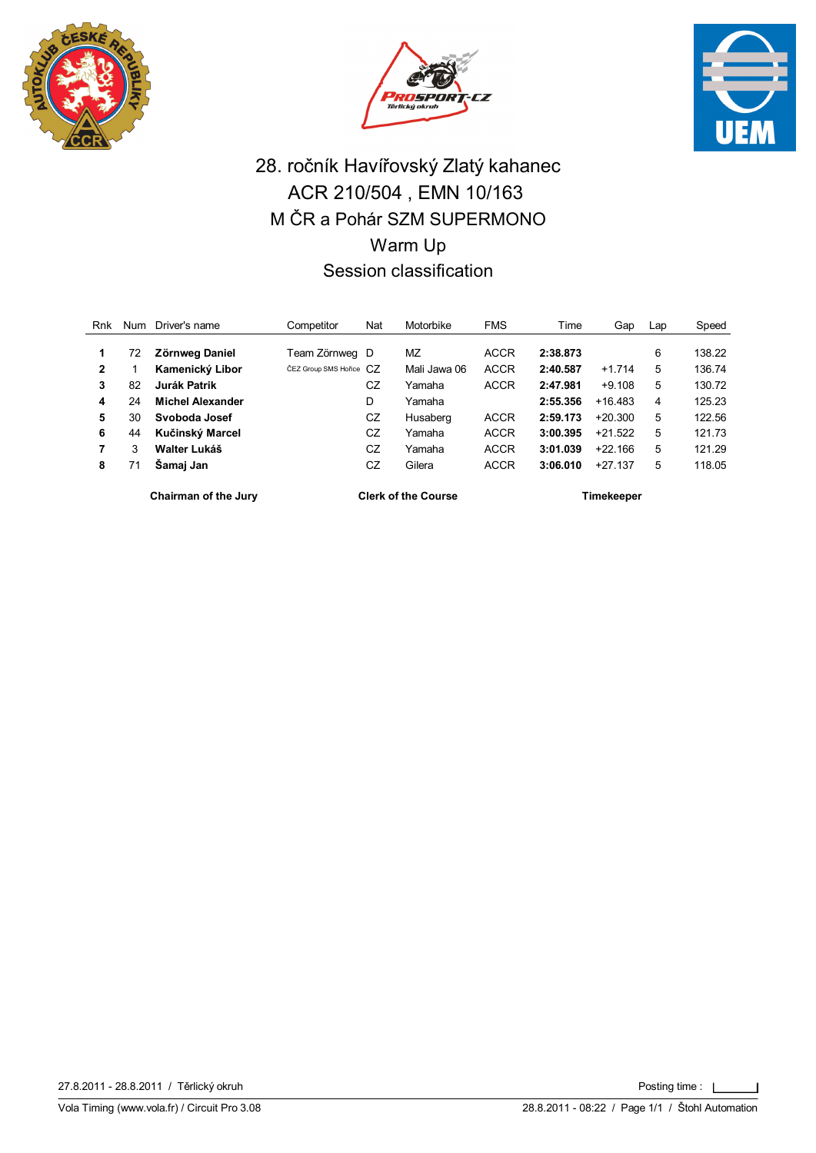





## 28. ročník Havířovský Zlatý kahanec ACR 210/504 , EMN 10/163 M ČR a Pohár SZM SUPERMONO Warm Up Session classification

| Rnk            | Num | Driver's name           | Competitor               | Nat | Motorbike    | <b>FMS</b>  | Time     | Gap       | Lap | Speed  |
|----------------|-----|-------------------------|--------------------------|-----|--------------|-------------|----------|-----------|-----|--------|
|                | 72  | <b>Zörnweg Daniel</b>   | Team Zörnweg D           |     | MZ           | <b>ACCR</b> | 2:38.873 |           | 6   | 138.22 |
| $\overline{2}$ |     | Kamenický Libor         | ČEZ Group SMS Hořice C.7 |     | Mali Jawa 06 | <b>ACCR</b> | 2:40.587 | $+1.714$  | 5   | 136.74 |
| 3              | 82  | Jurák Patrik            |                          | CZ  | Yamaha       | <b>ACCR</b> | 2:47.981 | $+9.108$  | 5   | 130.72 |
| 4              | 24  | <b>Michel Alexander</b> |                          | D   | Yamaha       |             | 2:55.356 | $+16.483$ | 4   | 125.23 |
| 5              | 30  | Svoboda Josef           |                          | CZ  | Husaberg     | <b>ACCR</b> | 2:59.173 | $+20.300$ | 5   | 122.56 |
| 6              | 44  | Kučinský Marcel         |                          | CZ  | Yamaha       | <b>ACCR</b> | 3:00.395 | $+21.522$ | 5   | 121.73 |
|                | 3   | Walter Lukáš            |                          | CZ  | Yamaha       | <b>ACCR</b> | 3:01.039 | $+22.166$ | 5   | 121.29 |
| 8              | 71  | Samaj Jan               |                          | CZ  | Gilera       | <b>ACCR</b> | 3:06.010 | $+27.137$ | 5   | 118.05 |
|                |     |                         |                          |     |              |             |          |           |     |        |

**Chairman of the Jury Clerk of the Course Timekeeper**

27.8.2011 - 28.8.2011 / Těrlický okruh Posting time :

 $\overline{1}$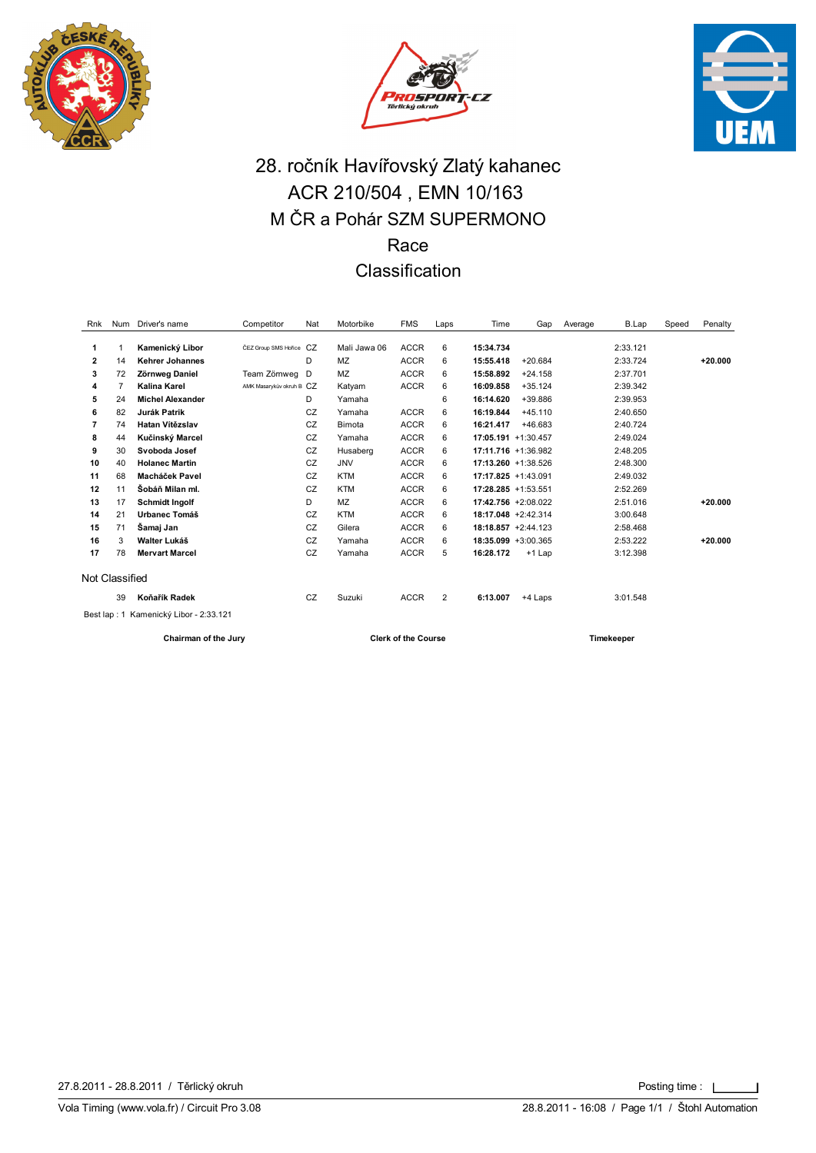





## 28. ročník Havířovský Zlatý kahanec ACR 210/504 , EMN 10/163 M ČR a Pohár SZM SUPERMONO Race Classification

| Rnk            | Num                                    | Driver's name           | Competitor               | Nat | Motorbike    | <b>FMS</b>  | Laps           | Time                   | Gap       | Average | B.Lap    | Speed | Penalty   |
|----------------|----------------------------------------|-------------------------|--------------------------|-----|--------------|-------------|----------------|------------------------|-----------|---------|----------|-------|-----------|
|                |                                        |                         |                          |     |              |             |                |                        |           |         |          |       |           |
| 1              | 1                                      | Kamenický Libor         | ČEZ Group SMS Hořice CZ  |     | Mali Jawa 06 | <b>ACCR</b> | 6              | 15:34.734              |           |         | 2:33.121 |       |           |
| 2              | 14                                     | Kehrer Johannes         |                          | D   | MZ           | <b>ACCR</b> | 6              | 15:55.418              | $+20.684$ |         | 2:33.724 |       | $+20.000$ |
| 3              | 72                                     | Zörnweg Daniel          | Team Zörnweg             | D   | <b>MZ</b>    | <b>ACCR</b> | 6              | 15:58.892              | $+24.158$ |         | 2:37.701 |       |           |
| 4              | $\overline{7}$                         | Kalina Karel            | AMK Masarykův okruh B CZ |     | Katyam       | <b>ACCR</b> | 6              | 16:09.858              | $+35.124$ |         | 2:39.342 |       |           |
| 5              | 24                                     | <b>Michel Alexander</b> |                          | D   | Yamaha       |             | 6              | 16:14.620              | +39.886   |         | 2:39.953 |       |           |
| 6              | 82                                     | <b>Jurák Patrik</b>     |                          | CZ  | Yamaha       | <b>ACCR</b> | 6              | 16:19.844              | $+45.110$ |         | 2:40.650 |       |           |
| 7              | 74                                     | Hatan Vítězslav         |                          | CZ  | Bimota       | <b>ACCR</b> | 6              | 16:21.417              | +46.683   |         | 2:40.724 |       |           |
| 8              | 44                                     | Kučinský Marcel         |                          | CZ  | Yamaha       | <b>ACCR</b> | 6              | $17:05.191 + 1:30.457$ |           |         | 2:49.024 |       |           |
| 9              | 30                                     | Svoboda Josef           |                          | CZ  | Husaberg     | <b>ACCR</b> | 6              | 17:11.716 +1:36.982    |           |         | 2:48.205 |       |           |
| 10             | 40                                     | <b>Holanec Martin</b>   |                          | CZ  | <b>JNV</b>   | <b>ACCR</b> | 6              | $17:13.260 + 1:38.526$ |           |         | 2:48.300 |       |           |
| 11             | 68                                     | Macháček Pavel          |                          | CZ  | <b>KTM</b>   | <b>ACCR</b> | 6              | $17:17.825 + 1:43.091$ |           |         | 2:49.032 |       |           |
| 12             | 11                                     | Šobáň Milan ml.         |                          | CZ  | <b>KTM</b>   | <b>ACCR</b> | 6              | $17:28.285 + 1:53.551$ |           |         | 2:52.269 |       |           |
| 13             | 17                                     | <b>Schmidt Ingolf</b>   |                          | D   | MZ           | <b>ACCR</b> | 6              | 17:42.756 +2:08.022    |           |         | 2:51.016 |       | $+20.000$ |
| 14             | 21                                     | Urbanec Tomáš           |                          | CZ  | <b>KTM</b>   | <b>ACCR</b> | 6              | 18:17.048 +2:42.314    |           |         | 3:00.648 |       |           |
| 15             | 71                                     | Šamaj Jan               |                          | CZ  | Gilera       | <b>ACCR</b> | 6              | $18:18.857 + 2:44.123$ |           |         | 2:58.468 |       |           |
| 16             | 3                                      | Walter Lukáš            |                          | CZ  | Yamaha       | <b>ACCR</b> | 6              | 18:35.099 +3:00.365    |           |         | 2:53.222 |       | $+20.000$ |
| 17             | 78                                     | <b>Mervart Marcel</b>   |                          | CZ  | Yamaha       | <b>ACCR</b> | 5              | 16:28.172              | $+1$ Lap  |         | 3:12.398 |       |           |
| Not Classified |                                        |                         |                          |     |              |             |                |                        |           |         |          |       |           |
|                | 39                                     | Koňařík Radek           |                          | CZ  | Suzuki       | <b>ACCR</b> | $\overline{2}$ | 6:13.007               | +4 Laps   |         | 3:01.548 |       |           |
|                | Best lap: 1 Kamenický Libor - 2:33.121 |                         |                          |     |              |             |                |                        |           |         |          |       |           |

**Chairman of the Jury Clerk of the Course Timekeeper**

 $\overline{1}$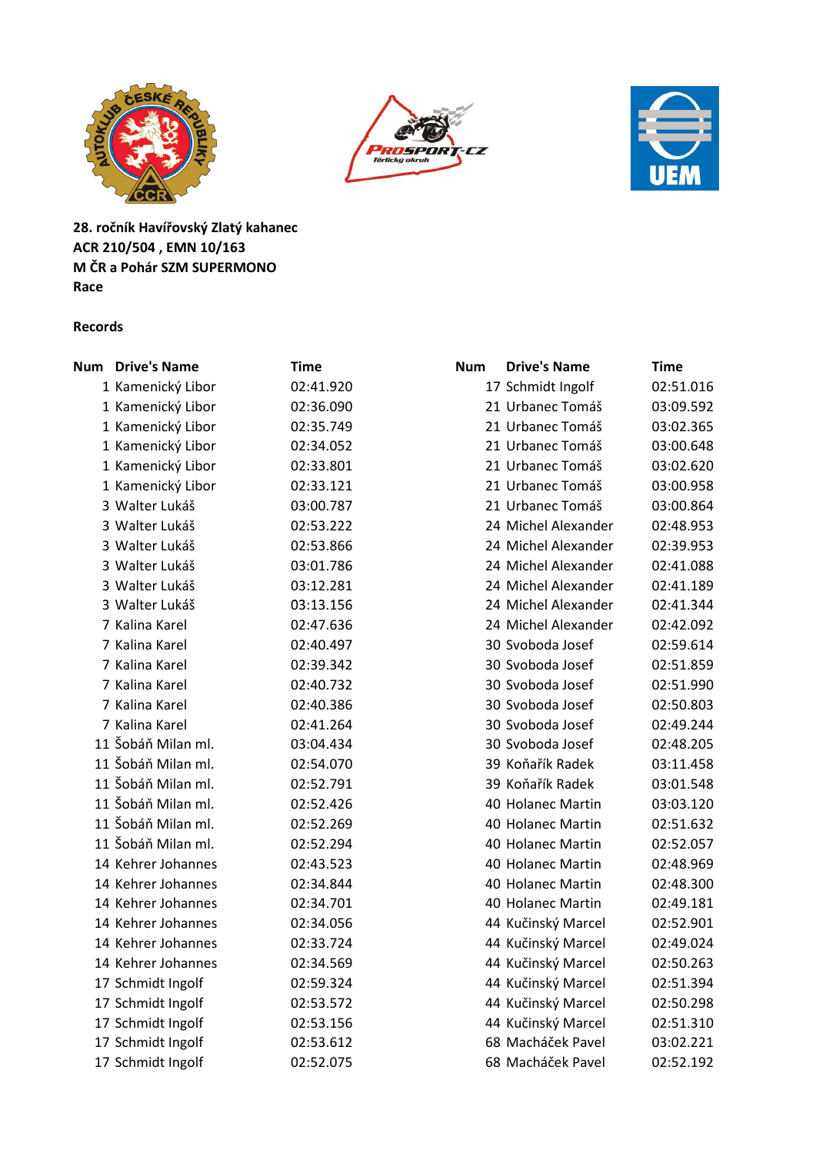





**28. ročník Havířovský Zlatý kahanec ACR 210/504 , EMN 10/163 M ČR a Pohár SZM SUPERMONO Race**

#### **Records**

| <b>Num</b> Drive's Name | <b>Time</b> | <b>Drive's Name</b><br><b>Num</b> | <b>Time</b> |
|-------------------------|-------------|-----------------------------------|-------------|
| 1 Kamenický Libor       | 02:41.920   | 17 Schmidt Ingolf                 | 02:51.016   |
| 1 Kamenický Libor       | 02:36.090   | 21 Urbanec Tomáš                  | 03:09.592   |
| 1 Kamenický Libor       | 02:35.749   | 21 Urbanec Tomáš                  | 03:02.365   |
| 1 Kamenický Libor       | 02:34.052   | 21 Urbanec Tomáš                  | 03:00.648   |
| 1 Kamenický Libor       | 02:33.801   | 21 Urbanec Tomáš                  | 03:02.620   |
| 1 Kamenický Libor       | 02:33.121   | 21 Urbanec Tomáš                  | 03:00.958   |
| 3 Walter Lukáš          | 03:00.787   | 21 Urbanec Tomáš                  | 03:00.864   |
| 3 Walter Lukáš          | 02:53.222   | 24 Michel Alexander               | 02:48.953   |
| 3 Walter Lukáš          | 02:53.866   | 24 Michel Alexander               | 02:39.953   |
| 3 Walter Lukáš          | 03:01.786   | 24 Michel Alexander               | 02:41.088   |
| 3 Walter Lukáš          | 03:12.281   | 24 Michel Alexander               | 02:41.189   |
| 3 Walter Lukáš          | 03:13.156   | 24 Michel Alexander               | 02:41.344   |
| 7 Kalina Karel          | 02:47.636   | 24 Michel Alexander               | 02:42.092   |
| 7 Kalina Karel          | 02:40.497   | 30 Svoboda Josef                  | 02:59.614   |
| 7 Kalina Karel          | 02:39.342   | 30 Svoboda Josef                  | 02:51.859   |
| 7 Kalina Karel          | 02:40.732   | 30 Svoboda Josef                  | 02:51.990   |
| 7 Kalina Karel          | 02:40.386   | 30 Svoboda Josef                  | 02:50.803   |
| 7 Kalina Karel          | 02:41.264   | 30 Svoboda Josef                  | 02:49.244   |
| 11 Šobáň Milan ml.      | 03:04.434   | 30 Svoboda Josef                  | 02:48.205   |
| 11 Šobáň Milan ml.      | 02:54.070   | 39 Koňařík Radek                  | 03:11.458   |
| 11 Šobáň Milan ml.      | 02:52.791   | 39 Koňařík Radek                  | 03:01.548   |
| 11 Šobáň Milan ml.      | 02:52.426   | 40 Holanec Martin                 | 03:03.120   |
| 11 Šobáň Milan ml.      | 02:52.269   | 40 Holanec Martin                 | 02:51.632   |
| 11 Šobáň Milan ml.      | 02:52.294   | 40 Holanec Martin                 | 02:52.057   |
| 14 Kehrer Johannes      | 02:43.523   | 40 Holanec Martin                 | 02:48.969   |
| 14 Kehrer Johannes      | 02:34.844   | 40 Holanec Martin                 | 02:48.300   |
| 14 Kehrer Johannes      | 02:34.701   | 40 Holanec Martin                 | 02:49.181   |
| 14 Kehrer Johannes      | 02:34.056   | 44 Kučinský Marcel                | 02:52.901   |
| 14 Kehrer Johannes      | 02:33.724   | 44 Kučinský Marcel                | 02:49.024   |
| 14 Kehrer Johannes      | 02:34.569   | 44 Kučinský Marcel                | 02:50.263   |
| 17 Schmidt Ingolf       | 02:59.324   | 44 Kučinský Marcel                | 02:51.394   |
| 17 Schmidt Ingolf       | 02:53.572   | 44 Kučinský Marcel                | 02:50.298   |
| 17 Schmidt Ingolf       | 02:53.156   | 44 Kučinský Marcel                | 02:51.310   |
| 17 Schmidt Ingolf       | 02:53.612   | 68 Macháček Pavel                 | 03:02.221   |
| 17 Schmidt Ingolf       | 02:52.075   | 68 Macháček Pavel                 | 02:52.192   |